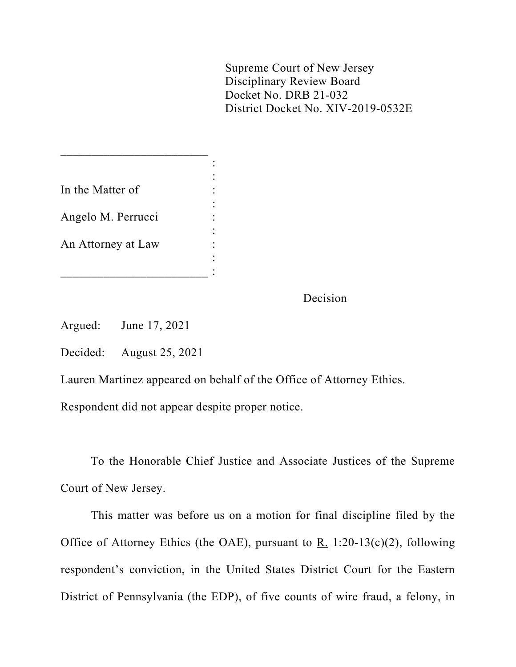Supreme Court of New Jersey Disciplinary Review Board Docket No. DRB 21-032 District Docket No. XIV-2019-0532E

| In the Matter of   |  |
|--------------------|--|
|                    |  |
| Angelo M. Perrucci |  |
|                    |  |
| An Attorney at Law |  |
|                    |  |
|                    |  |

 $\overline{\phantom{a}}$  , which is a set of the set of the set of the set of the set of the set of the set of the set of the set of the set of the set of the set of the set of the set of the set of the set of the set of the set of th

Decision

Argued: June 17, 2021

Decided: August 25, 2021

Lauren Martinez appeared on behalf of the Office of Attorney Ethics.

Respondent did not appear despite proper notice.

To the Honorable Chief Justice and Associate Justices of the Supreme Court of New Jersey.

This matter was before us on a motion for final discipline filed by the Office of Attorney Ethics (the OAE), pursuant to R. 1:20-13(c)(2), following respondent's conviction, in the United States District Court for the Eastern District of Pennsylvania (the EDP), of five counts of wire fraud, a felony, in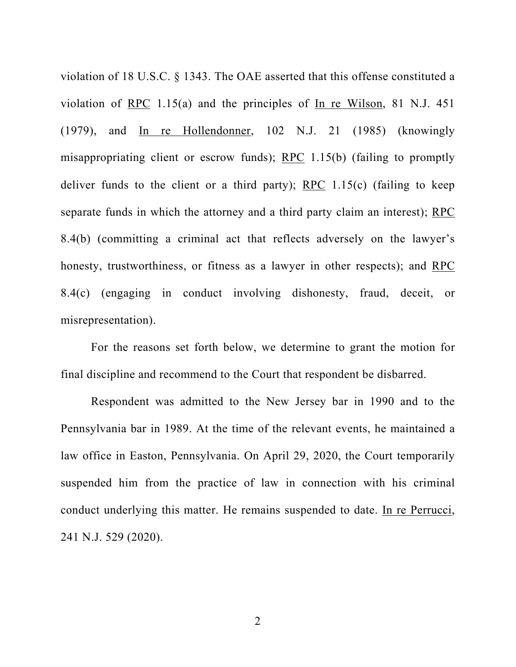violation of 18 U.S.C. § 1343. The OAE asserted that this offense constituted a violation of RPC 1.15(a) and the principles of In re Wilson, 81 N.J. 451 (1979), and In re Hollendonner, 102 N.J. 21 (1985) (knowingly misappropriating client or escrow funds); RPC 1.15(b) (failing to promptly deliver funds to the client or a third party); RPC  $1.15(c)$  (failing to keep separate funds in which the attorney and a third party claim an interest); RPC 8.4(b) (committing a criminal act that reflects adversely on the lawyer's honesty, trustworthiness, or fitness as a lawyer in other respects); and RPC 8.4(c) (engaging in conduct involving dishonesty, fraud, deceit, or misrepresentation).

For the reasons set forth below, we determine to grant the motion for final discipline and recommend to the Court that respondent be disbarred.

Respondent was admitted to the New Jersey bar in 1990 and to the Pennsylvania bar in 1989. At the time of the relevant events, he maintained a law office in Easton, Pennsylvania. On April 29, 2020, the Court temporarily suspended him from the practice of law in connection with his criminal conduct underlying this matter. He remains suspended to date. In re Perrucci, 241 N.J. 529 (2020).

2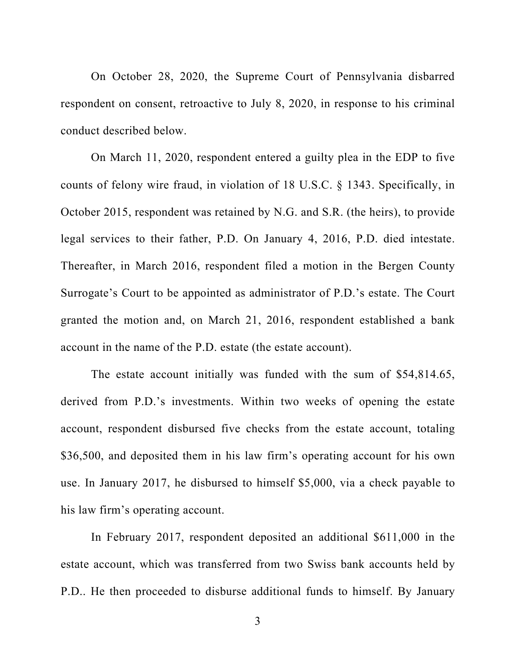On October 28, 2020, the Supreme Court of Pennsylvania disbarred respondent on consent, retroactive to July 8, 2020, in response to his criminal conduct described below.

On March 11, 2020, respondent entered a guilty plea in the EDP to five counts of felony wire fraud, in violation of 18 U.S.C. § 1343. Specifically, in October 2015, respondent was retained by N.G. and S.R. (the heirs), to provide legal services to their father, P.D. On January 4, 2016, P.D. died intestate. Thereafter, in March 2016, respondent filed a motion in the Bergen County Surrogate's Court to be appointed as administrator of P.D.'s estate. The Court granted the motion and, on March 21, 2016, respondent established a bank account in the name of the P.D. estate (the estate account).

The estate account initially was funded with the sum of \$54,814.65, derived from P.D.'s investments. Within two weeks of opening the estate account, respondent disbursed five checks from the estate account, totaling \$36,500, and deposited them in his law firm's operating account for his own use. In January 2017, he disbursed to himself \$5,000, via a check payable to his law firm's operating account.

In February 2017, respondent deposited an additional \$611,000 in the estate account, which was transferred from two Swiss bank accounts held by P.D.. He then proceeded to disburse additional funds to himself. By January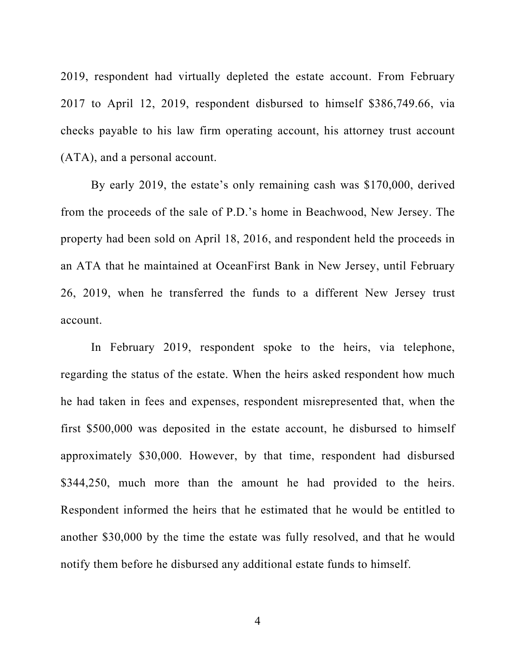2019, respondent had virtually depleted the estate account. From February 2017 to April 12, 2019, respondent disbursed to himself \$386,749.66, via checks payable to his law firm operating account, his attorney trust account (ATA), and a personal account.

By early 2019, the estate's only remaining cash was \$170,000, derived from the proceeds of the sale of P.D.'s home in Beachwood, New Jersey. The property had been sold on April 18, 2016, and respondent held the proceeds in an ATA that he maintained at OceanFirst Bank in New Jersey, until February 26, 2019, when he transferred the funds to a different New Jersey trust account.

In February 2019, respondent spoke to the heirs, via telephone, regarding the status of the estate. When the heirs asked respondent how much he had taken in fees and expenses, respondent misrepresented that, when the first \$500,000 was deposited in the estate account, he disbursed to himself approximately \$30,000. However, by that time, respondent had disbursed \$344,250, much more than the amount he had provided to the heirs. Respondent informed the heirs that he estimated that he would be entitled to another \$30,000 by the time the estate was fully resolved, and that he would notify them before he disbursed any additional estate funds to himself.

4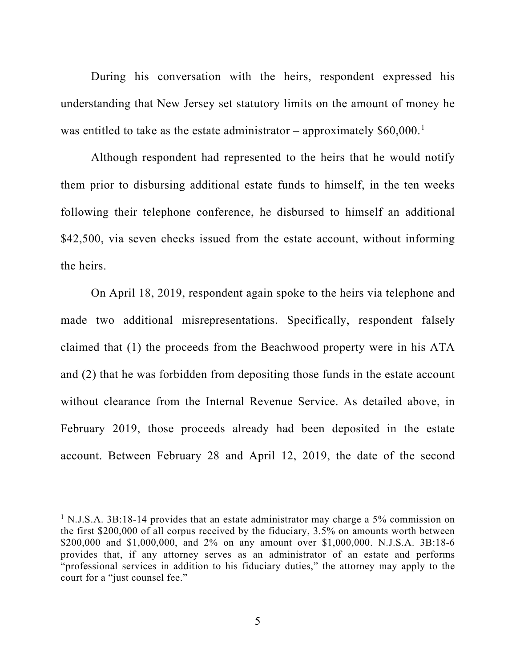During his conversation with the heirs, respondent expressed his understanding that New Jersey set statutory limits on the amount of money he was entitled to take as the estate administrator – approximately  $$60,000$ .<sup>[1](#page-4-0)</sup>

Although respondent had represented to the heirs that he would notify them prior to disbursing additional estate funds to himself, in the ten weeks following their telephone conference, he disbursed to himself an additional \$42,500, via seven checks issued from the estate account, without informing the heirs.

On April 18, 2019, respondent again spoke to the heirs via telephone and made two additional misrepresentations. Specifically, respondent falsely claimed that (1) the proceeds from the Beachwood property were in his ATA and (2) that he was forbidden from depositing those funds in the estate account without clearance from the Internal Revenue Service. As detailed above, in February 2019, those proceeds already had been deposited in the estate account. Between February 28 and April 12, 2019, the date of the second

<span id="page-4-0"></span><sup>&</sup>lt;sup>1</sup> N.J.S.A. 3B:18-14 provides that an estate administrator may charge a 5% commission on the first \$200,000 of all corpus received by the fiduciary, 3.5% on amounts worth between \$200,000 and \$1,000,000, and 2% on any amount over \$1,000,000. N.J.S.A. 3B:18-6 provides that, if any attorney serves as an administrator of an estate and performs "professional services in addition to his fiduciary duties," the attorney may apply to the court for a "just counsel fee."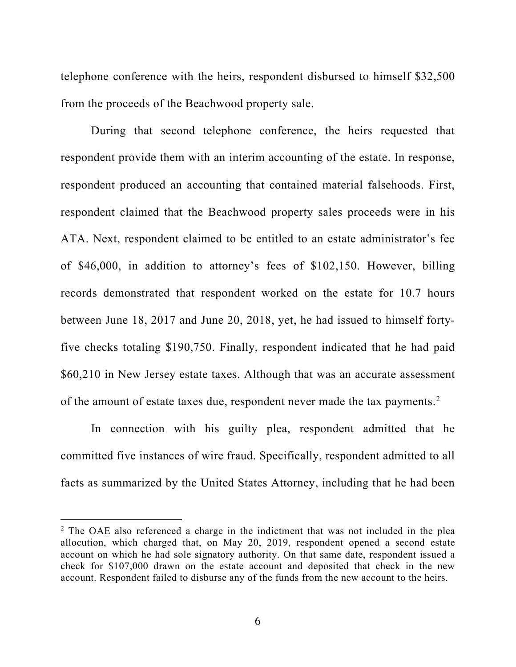telephone conference with the heirs, respondent disbursed to himself \$32,500 from the proceeds of the Beachwood property sale.

During that second telephone conference, the heirs requested that respondent provide them with an interim accounting of the estate. In response, respondent produced an accounting that contained material falsehoods. First, respondent claimed that the Beachwood property sales proceeds were in his ATA. Next, respondent claimed to be entitled to an estate administrator's fee of \$46,000, in addition to attorney's fees of \$102,150. However, billing records demonstrated that respondent worked on the estate for 10.7 hours between June 18, 2017 and June 20, 2018, yet, he had issued to himself fortyfive checks totaling \$190,750. Finally, respondent indicated that he had paid \$60,210 in New Jersey estate taxes. Although that was an accurate assessment of the amount of estate taxes due, respondent never made the tax payments.<sup>[2](#page-5-0)</sup>

In connection with his guilty plea, respondent admitted that he committed five instances of wire fraud. Specifically, respondent admitted to all facts as summarized by the United States Attorney, including that he had been

<span id="page-5-0"></span> $2$  The OAE also referenced a charge in the indictment that was not included in the plea allocution, which charged that, on May 20, 2019, respondent opened a second estate account on which he had sole signatory authority. On that same date, respondent issued a check for \$107,000 drawn on the estate account and deposited that check in the new account. Respondent failed to disburse any of the funds from the new account to the heirs.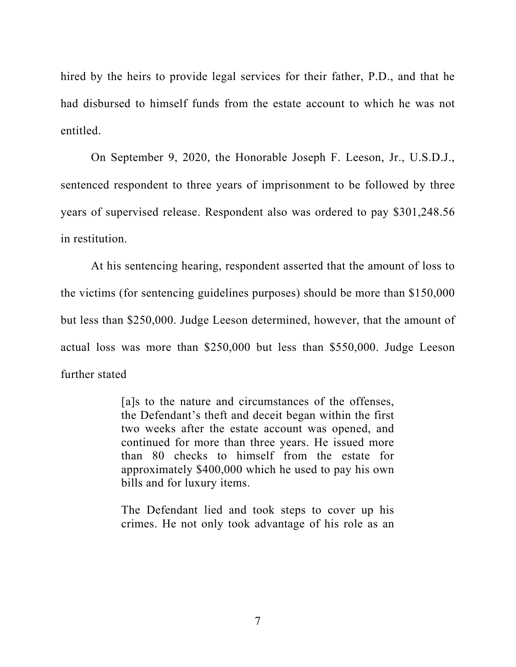hired by the heirs to provide legal services for their father, P.D., and that he had disbursed to himself funds from the estate account to which he was not entitled.

On September 9, 2020, the Honorable Joseph F. Leeson, Jr., U.S.D.J., sentenced respondent to three years of imprisonment to be followed by three years of supervised release. Respondent also was ordered to pay \$301,248.56 in restitution.

At his sentencing hearing, respondent asserted that the amount of loss to the victims (for sentencing guidelines purposes) should be more than \$150,000 but less than \$250,000. Judge Leeson determined, however, that the amount of actual loss was more than \$250,000 but less than \$550,000. Judge Leeson further stated

> [a]s to the nature and circumstances of the offenses, the Defendant's theft and deceit began within the first two weeks after the estate account was opened, and continued for more than three years. He issued more than 80 checks to himself from the estate for approximately \$400,000 which he used to pay his own bills and for luxury items.

> The Defendant lied and took steps to cover up his crimes. He not only took advantage of his role as an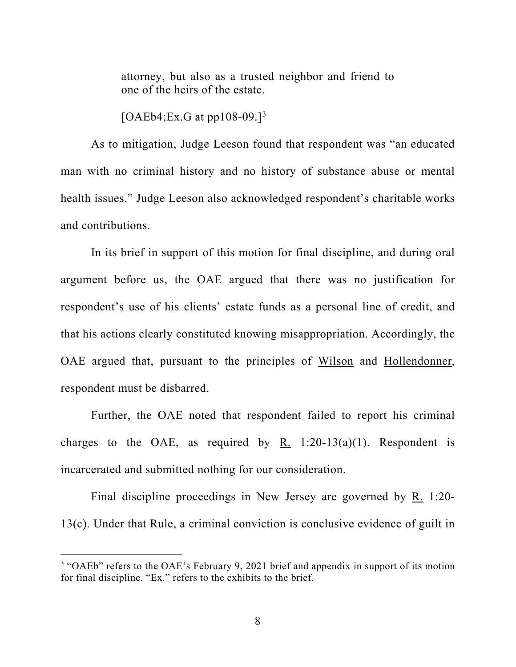attorney, but also as a trusted neighbor and friend to one of the heirs of the estate.

[OAEb4;Ex.G at pp108-09.]<sup>[3](#page-7-0)</sup>

As to mitigation, Judge Leeson found that respondent was "an educated man with no criminal history and no history of substance abuse or mental health issues." Judge Leeson also acknowledged respondent's charitable works and contributions.

In its brief in support of this motion for final discipline, and during oral argument before us, the OAE argued that there was no justification for respondent's use of his clients' estate funds as a personal line of credit, and that his actions clearly constituted knowing misappropriation. Accordingly, the OAE argued that, pursuant to the principles of Wilson and Hollendonner, respondent must be disbarred.

Further, the OAE noted that respondent failed to report his criminal charges to the OAE, as required by R. 1:20-13(a)(1). Respondent is incarcerated and submitted nothing for our consideration.

Final discipline proceedings in New Jersey are governed by R. 1:20- 13(c). Under that Rule, a criminal conviction is conclusive evidence of guilt in

<span id="page-7-0"></span><sup>&</sup>lt;sup>3</sup> "OAEb" refers to the OAE's February 9, 2021 brief and appendix in support of its motion for final discipline. "Ex." refers to the exhibits to the brief.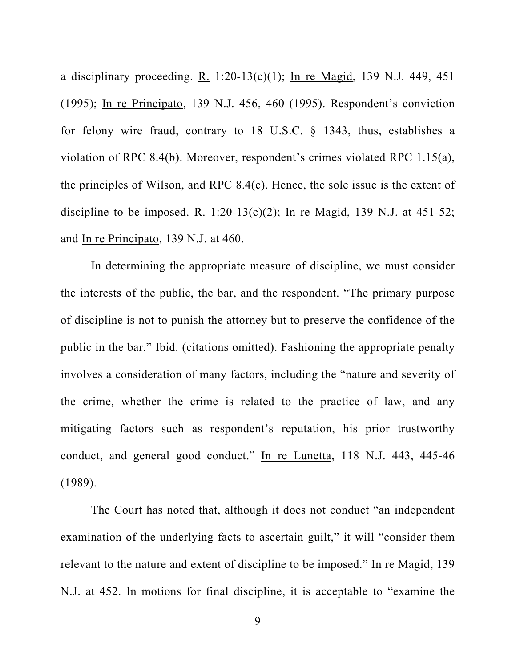a disciplinary proceeding. R. 1:20-13(c)(1); In re Magid, 139 N.J. 449, 451 (1995); In re Principato, 139 N.J. 456, 460 (1995). Respondent's conviction for felony wire fraud, contrary to 18 U.S.C. § 1343, thus, establishes a violation of RPC 8.4(b). Moreover, respondent's crimes violated RPC 1.15(a), the principles of Wilson, and RPC 8.4(c). Hence, the sole issue is the extent of discipline to be imposed. R. 1:20-13(c)(2); In re Magid, 139 N.J. at 451-52; and In re Principato, 139 N.J. at 460.

In determining the appropriate measure of discipline, we must consider the interests of the public, the bar, and the respondent. "The primary purpose of discipline is not to punish the attorney but to preserve the confidence of the public in the bar." Ibid. (citations omitted). Fashioning the appropriate penalty involves a consideration of many factors, including the "nature and severity of the crime, whether the crime is related to the practice of law, and any mitigating factors such as respondent's reputation, his prior trustworthy conduct, and general good conduct." In re Lunetta, 118 N.J. 443, 445-46 (1989).

The Court has noted that, although it does not conduct "an independent examination of the underlying facts to ascertain guilt," it will "consider them relevant to the nature and extent of discipline to be imposed." In re Magid, 139 N.J. at 452. In motions for final discipline, it is acceptable to "examine the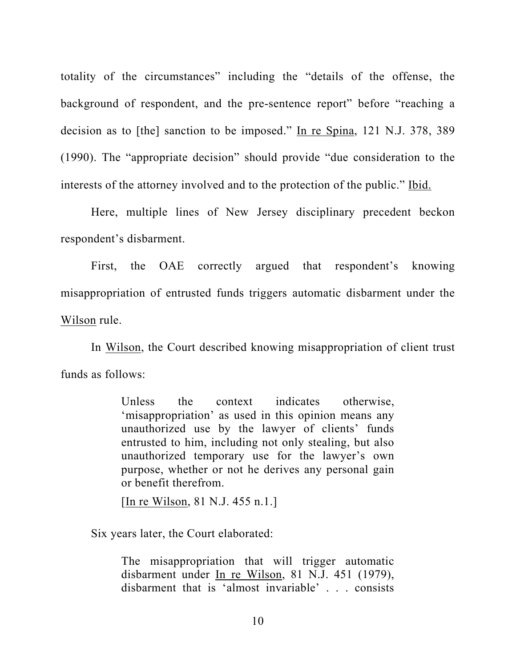totality of the circumstances" including the "details of the offense, the background of respondent, and the pre-sentence report" before "reaching a decision as to [the] sanction to be imposed." In re Spina, 121 N.J. 378, 389 (1990). The "appropriate decision" should provide "due consideration to the interests of the attorney involved and to the protection of the public." Ibid.

Here, multiple lines of New Jersey disciplinary precedent beckon respondent's disbarment.

First, the OAE correctly argued that respondent's knowing misappropriation of entrusted funds triggers automatic disbarment under the Wilson rule.

In Wilson, the Court described knowing misappropriation of client trust funds as follows:

> Unless the context indicates otherwise, 'misappropriation' as used in this opinion means any unauthorized use by the lawyer of clients' funds entrusted to him, including not only stealing, but also unauthorized temporary use for the lawyer's own purpose, whether or not he derives any personal gain or benefit therefrom.

[In re Wilson, 81 N.J. 455 n.1.]

Six years later, the Court elaborated:

The misappropriation that will trigger automatic disbarment under In re Wilson, 81 N.J. 451 (1979), disbarment that is 'almost invariable' . . . consists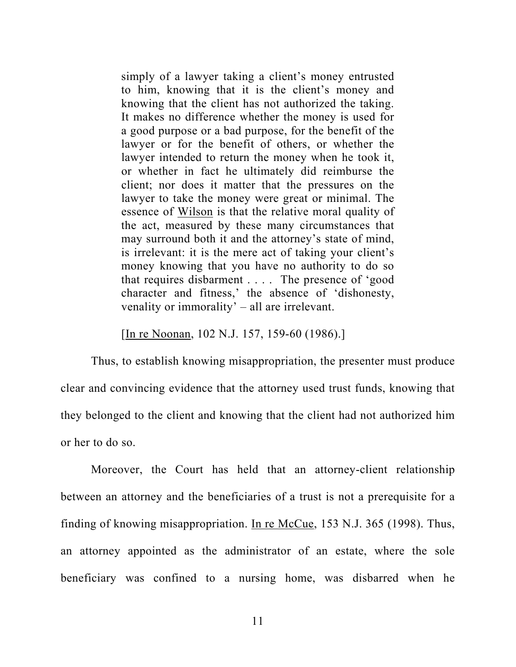simply of a lawyer taking a client's money entrusted to him, knowing that it is the client's money and knowing that the client has not authorized the taking. It makes no difference whether the money is used for a good purpose or a bad purpose, for the benefit of the lawyer or for the benefit of others, or whether the lawyer intended to return the money when he took it, or whether in fact he ultimately did reimburse the client; nor does it matter that the pressures on the lawyer to take the money were great or minimal. The essence of Wilson is that the relative moral quality of the act, measured by these many circumstances that may surround both it and the attorney's state of mind, is irrelevant: it is the mere act of taking your client's money knowing that you have no authority to do so that requires disbarment . . . . The presence of 'good character and fitness,' the absence of 'dishonesty, venality or immorality' – all are irrelevant.

[In re Noonan, 102 N.J. 157, 159-60 (1986).]

Thus, to establish knowing misappropriation, the presenter must produce clear and convincing evidence that the attorney used trust funds, knowing that they belonged to the client and knowing that the client had not authorized him or her to do so.

Moreover, the Court has held that an attorney-client relationship between an attorney and the beneficiaries of a trust is not a prerequisite for a finding of knowing misappropriation. In re McCue, 153 N.J. 365 (1998). Thus, an attorney appointed as the administrator of an estate, where the sole beneficiary was confined to a nursing home, was disbarred when he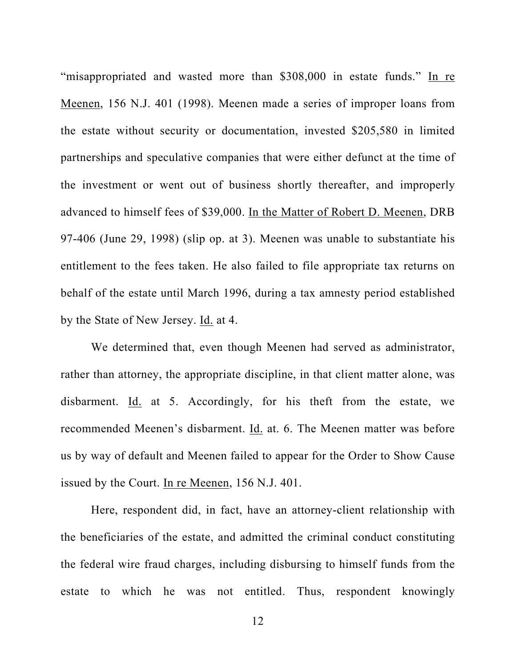"misappropriated and wasted more than \$308,000 in estate funds." In re Meenen, 156 N.J. 401 (1998). Meenen made a series of improper loans from the estate without security or documentation, invested \$205,580 in limited partnerships and speculative companies that were either defunct at the time of the investment or went out of business shortly thereafter, and improperly advanced to himself fees of \$39,000. In the Matter of Robert D. Meenen, DRB 97-406 (June 29, 1998) (slip op. at 3). Meenen was unable to substantiate his entitlement to the fees taken. He also failed to file appropriate tax returns on behalf of the estate until March 1996, during a tax amnesty period established by the State of New Jersey. Id. at 4.

We determined that, even though Meenen had served as administrator, rather than attorney, the appropriate discipline, in that client matter alone, was disbarment. Id. at 5. Accordingly, for his theft from the estate, we recommended Meenen's disbarment. Id. at. 6. The Meenen matter was before us by way of default and Meenen failed to appear for the Order to Show Cause issued by the Court. In re Meenen, 156 N.J. 401.

Here, respondent did, in fact, have an attorney-client relationship with the beneficiaries of the estate, and admitted the criminal conduct constituting the federal wire fraud charges, including disbursing to himself funds from the estate to which he was not entitled. Thus, respondent knowingly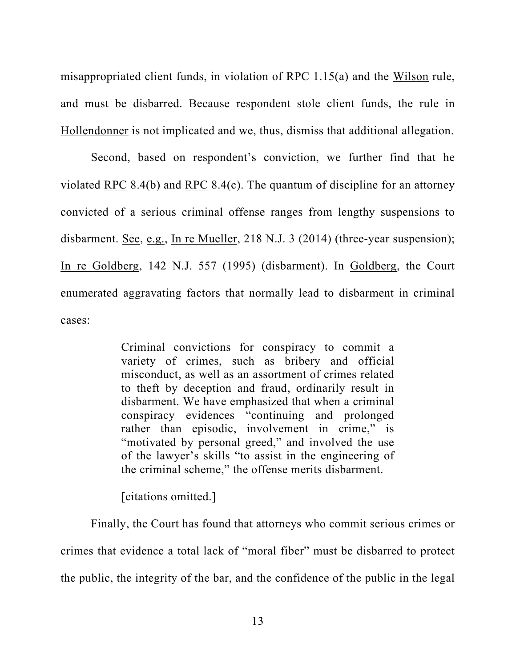misappropriated client funds, in violation of RPC 1.15(a) and the Wilson rule, and must be disbarred. Because respondent stole client funds, the rule in Hollendonner is not implicated and we, thus, dismiss that additional allegation.

Second, based on respondent's conviction, we further find that he violated RPC 8.4(b) and RPC 8.4(c). The quantum of discipline for an attorney convicted of a serious criminal offense ranges from lengthy suspensions to disbarment. See, e.g., In re Mueller, 218 N.J. 3 (2014) (three-year suspension); In re Goldberg, 142 N.J. 557 (1995) (disbarment). In Goldberg, the Court enumerated aggravating factors that normally lead to disbarment in criminal cases:

> Criminal convictions for conspiracy to commit a variety of crimes, such as bribery and official misconduct, as well as an assortment of crimes related to theft by deception and fraud, ordinarily result in disbarment. We have emphasized that when a criminal conspiracy evidences "continuing and prolonged rather than episodic, involvement in crime," is "motivated by personal greed," and involved the use of the lawyer's skills "to assist in the engineering of the criminal scheme," the offense merits disbarment.

[citations omitted.]

Finally, the Court has found that attorneys who commit serious crimes or crimes that evidence a total lack of "moral fiber" must be disbarred to protect the public, the integrity of the bar, and the confidence of the public in the legal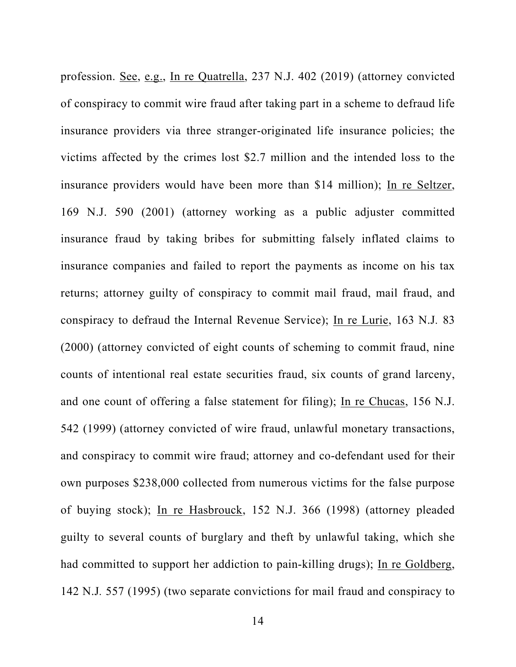profession. See, e.g., In re Quatrella, 237 N.J. 402 (2019) (attorney convicted of conspiracy to commit wire fraud after taking part in a scheme to defraud life insurance providers via three stranger-originated life insurance policies; the victims affected by the crimes lost \$2.7 million and the intended loss to the insurance providers would have been more than \$14 million); In re Seltzer, 169 N.J. 590 (2001) (attorney working as a public adjuster committed insurance fraud by taking bribes for submitting falsely inflated claims to insurance companies and failed to report the payments as income on his tax returns; attorney guilty of conspiracy to commit mail fraud, mail fraud, and conspiracy to defraud the Internal Revenue Service); In re Lurie, 163 N.J*.* 83 (2000) (attorney convicted of eight counts of scheming to commit fraud, nine counts of intentional real estate securities fraud, six counts of grand larceny, and one count of offering a false statement for filing); In re Chucas, 156 N.J. 542 (1999) (attorney convicted of wire fraud, unlawful monetary transactions, and conspiracy to commit wire fraud; attorney and co-defendant used for their own purposes \$238,000 collected from numerous victims for the false purpose of buying stock); In re Hasbrouck, 152 N.J. 366 (1998) (attorney pleaded guilty to several counts of burglary and theft by unlawful taking, which she had committed to support her addiction to pain-killing drugs); In re Goldberg, 142 N.J*.* 557 (1995) (two separate convictions for mail fraud and conspiracy to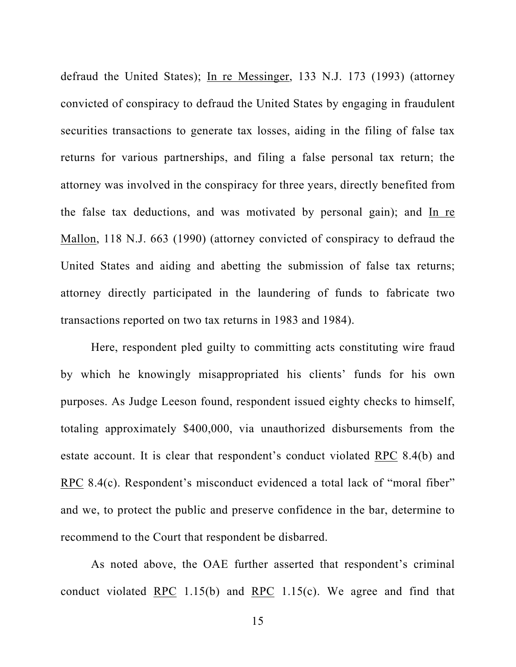defraud the United States); In re Messinger, 133 N.J. 173 (1993) (attorney convicted of conspiracy to defraud the United States by engaging in fraudulent securities transactions to generate tax losses, aiding in the filing of false tax returns for various partnerships, and filing a false personal tax return; the attorney was involved in the conspiracy for three years, directly benefited from the false tax deductions, and was motivated by personal gain); and In re Mallon, 118 N.J. 663 (1990) (attorney convicted of conspiracy to defraud the United States and aiding and abetting the submission of false tax returns; attorney directly participated in the laundering of funds to fabricate two transactions reported on two tax returns in 1983 and 1984).

Here, respondent pled guilty to committing acts constituting wire fraud by which he knowingly misappropriated his clients' funds for his own purposes. As Judge Leeson found, respondent issued eighty checks to himself, totaling approximately \$400,000, via unauthorized disbursements from the estate account. It is clear that respondent's conduct violated RPC 8.4(b) and RPC 8.4(c). Respondent's misconduct evidenced a total lack of "moral fiber" and we, to protect the public and preserve confidence in the bar, determine to recommend to the Court that respondent be disbarred.

As noted above, the OAE further asserted that respondent's criminal conduct violated RPC 1.15(b) and RPC 1.15(c). We agree and find that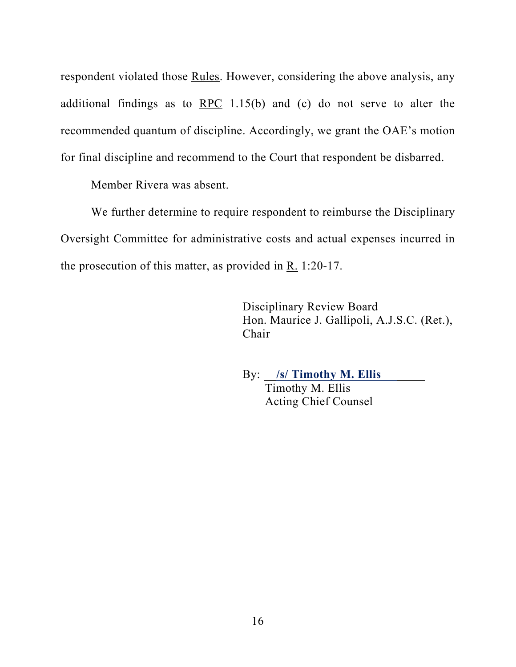respondent violated those Rules. However, considering the above analysis, any additional findings as to  $RPC$  1.15(b) and (c) do not serve to alter the recommended quantum of discipline. Accordingly, we grant the OAE's motion for final discipline and recommend to the Court that respondent be disbarred.

Member Rivera was absent.

We further determine to require respondent to reimburse the Disciplinary Oversight Committee for administrative costs and actual expenses incurred in the prosecution of this matter, as provided in R. 1:20-17.

> Disciplinary Review Board Hon. Maurice J. Gallipoli, A.J.S.C. (Ret.), Chair

 By: **/s/ Timothy M. Ellis**  Timothy M. Ellis Acting Chief Counsel